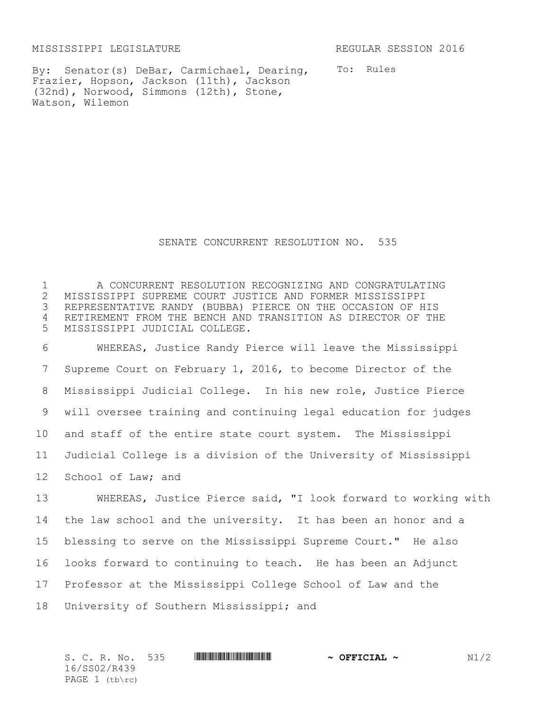MISSISSIPPI LEGISLATURE REGULAR SESSION 2016

By: Senator(s) DeBar, Carmichael, Dearing, Frazier, Hopson, Jackson (11th), Jackson (32nd), Norwood, Simmons (12th), Stone, Watson, Wilemon

To: Rules

## SENATE CONCURRENT RESOLUTION NO. 535

 A CONCURRENT RESOLUTION RECOGNIZING AND CONGRATULATING MISSISSIPPI SUPREME COURT JUSTICE AND FORMER MISSISSIPPI REPRESENTATIVE RANDY (BUBBA) PIERCE ON THE OCCASION OF HIS RETIREMENT FROM THE BENCH AND TRANSITION AS DIRECTOR OF THE MISSISSIPPI JUDICIAL COLLEGE.

 WHEREAS, Justice Randy Pierce will leave the Mississippi Supreme Court on February 1, 2016, to become Director of the Mississippi Judicial College. In his new role, Justice Pierce will oversee training and continuing legal education for judges and staff of the entire state court system. The Mississippi Judicial College is a division of the University of Mississippi School of Law; and

 WHEREAS, Justice Pierce said, "I look forward to working with the law school and the university. It has been an honor and a blessing to serve on the Mississippi Supreme Court." He also looks forward to continuing to teach. He has been an Adjunct Professor at the Mississippi College School of Law and the University of Southern Mississippi; and

| S. C. R. No. 535 |  | $\sim$ OFFICIAL $\sim$ | N1/2 |
|------------------|--|------------------------|------|
| 16/SS02/R439     |  |                        |      |
| PAGE $1$ (tb\rc) |  |                        |      |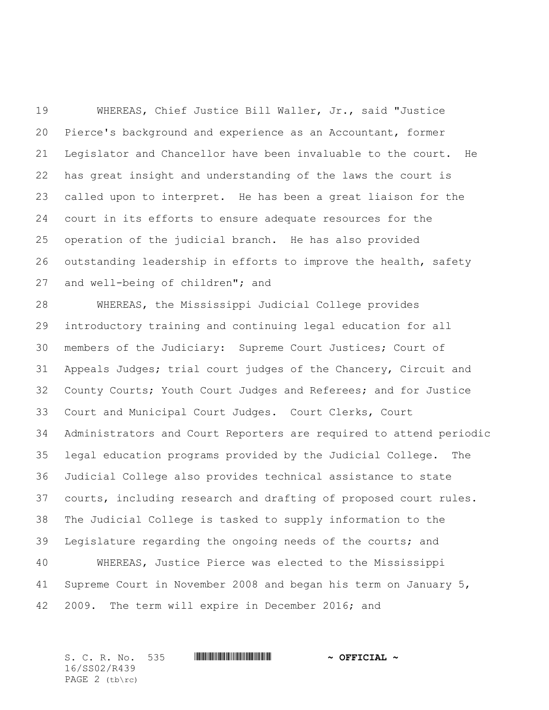WHEREAS, Chief Justice Bill Waller, Jr., said "Justice Pierce's background and experience as an Accountant, former Legislator and Chancellor have been invaluable to the court. He has great insight and understanding of the laws the court is called upon to interpret. He has been a great liaison for the court in its efforts to ensure adequate resources for the operation of the judicial branch. He has also provided outstanding leadership in efforts to improve the health, safety and well-being of children"; and

 WHEREAS, the Mississippi Judicial College provides introductory training and continuing legal education for all members of the Judiciary: Supreme Court Justices; Court of Appeals Judges; trial court judges of the Chancery, Circuit and County Courts; Youth Court Judges and Referees; and for Justice Court and Municipal Court Judges. Court Clerks, Court Administrators and Court Reporters are required to attend periodic legal education programs provided by the Judicial College. The Judicial College also provides technical assistance to state courts, including research and drafting of proposed court rules. The Judicial College is tasked to supply information to the Legislature regarding the ongoing needs of the courts; and WHEREAS, Justice Pierce was elected to the Mississippi Supreme Court in November 2008 and began his term on January 5, 2009. The term will expire in December 2016; and

S. C. R. No. 535 \*SS02/R439\* **~ OFFICIAL ~** 16/SS02/R439 PAGE 2 (tb\rc)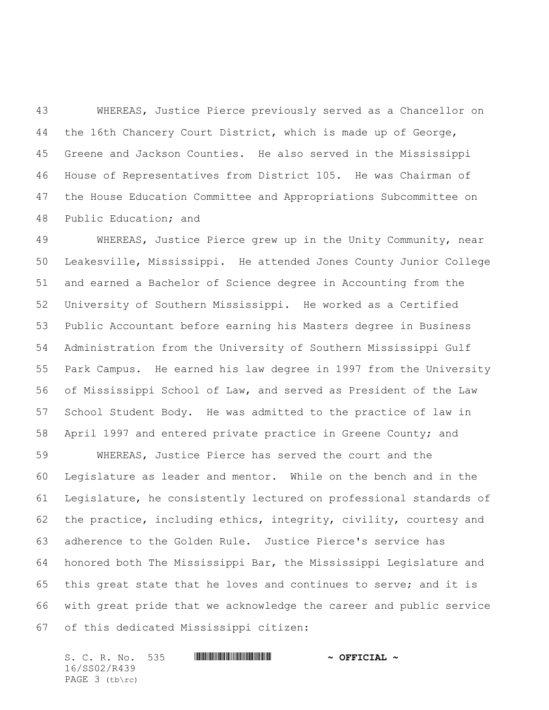WHEREAS, Justice Pierce previously served as a Chancellor on the 16th Chancery Court District, which is made up of George, Greene and Jackson Counties. He also served in the Mississippi House of Representatives from District 105. He was Chairman of the House Education Committee and Appropriations Subcommittee on Public Education; and

 WHEREAS, Justice Pierce grew up in the Unity Community, near Leakesville, Mississippi. He attended Jones County Junior College and earned a Bachelor of Science degree in Accounting from the University of Southern Mississippi. He worked as a Certified Public Accountant before earning his Masters degree in Business Administration from the University of Southern Mississippi Gulf Park Campus. He earned his law degree in 1997 from the University of Mississippi School of Law, and served as President of the Law School Student Body. He was admitted to the practice of law in April 1997 and entered private practice in Greene County; and

 WHEREAS, Justice Pierce has served the court and the Legislature as leader and mentor. While on the bench and in the Legislature, he consistently lectured on professional standards of the practice, including ethics, integrity, civility, courtesy and adherence to the Golden Rule. Justice Pierce's service has honored both The Mississippi Bar, the Mississippi Legislature and this great state that he loves and continues to serve; and it is with great pride that we acknowledge the career and public service of this dedicated Mississippi citizen:

S. C. R. No. 535 **WILL AND A SEPT CIAL ~** 16/SS02/R439 PAGE 3 (tb\rc)